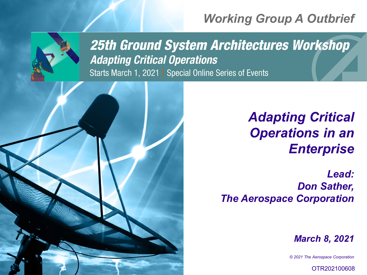# *Working Group A Outbrief*



**25th Ground System Architectures Workshop Adapting Critical Operations** Starts March 1, 2021 | Special Online Series of Events



# *Adapting Critical Operations in an Enterprise*

*Lead: Don Sather, The Aerospace Corporation*

*March 8, 2021*

*© 2021 The Aerospace Corporation*

OTR202100608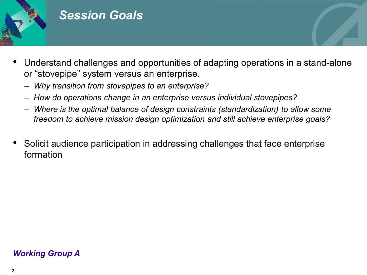

## *Session Goals*

- Understand challenges and opportunities of adapting operations in a stand-alone or "stovepipe" system versus an enterprise.
	- *Why transition from stovepipes to an enterprise?*
	- *How do operations change in an enterprise versus individual stovepipes?*
	- *Where is the optimal balance of design constraints (standardization) to allow some freedom to achieve mission design optimization and still achieve enterprise goals?*
- Solicit audience participation in addressing challenges that face enterprise formation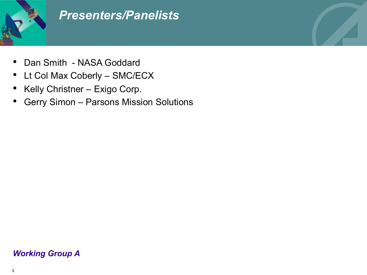

## *Presenters/Panelists*

- Dan Smith NASA Goddard
- Lt Col Max Coberly SMC/ECX
- Kelly Christner Exigo Corp.
- Gerry Simon Parsons Mission Solutions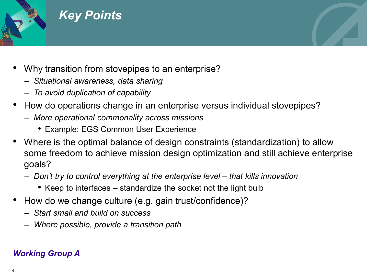

### *Key Points*

- Why transition from stovepipes to an enterprise?
	- *Situational awareness, data sharing*
	- *To avoid duplication of capability*
- How do operations change in an enterprise versus individual stovepipes?
	- *More operational commonality across missions*
		- Example: EGS Common User Experience
- Where is the optimal balance of design constraints (standardization) to allow some freedom to achieve mission design optimization and still achieve enterprise goals?
	- *Don't try to control everything at the enterprise level – that kills innovation*
		- Keep to interfaces standardize the socket not the light bulb
- How do we change culture (e.g. gain trust/confidence)?
	- *Start small and build on success*
	- *Where possible, provide a transition path*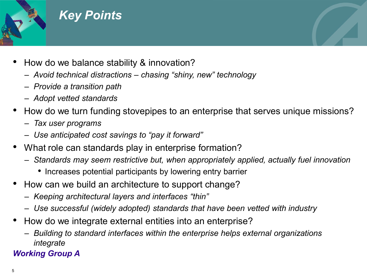

## *Key Points*

- How do we balance stability & innovation?
	- *Avoid technical distractions – chasing "shiny, new" technology*
	- *Provide a transition path*
	- *Adopt vetted standards*
- How do we turn funding stovepipes to an enterprise that serves unique missions?
	- *Tax user programs*
	- *Use anticipated cost savings to "pay it forward"*
- What role can standards play in enterprise formation?
	- *Standards may seem restrictive but, when appropriately applied, actually fuel innovation*
		- Increases potential participants by lowering entry barrier
- How can we build an architecture to support change?
	- *Keeping architectural layers and interfaces "thin"*
	- *Use successful (widely adopted) standards that have been vetted with industry*
- How do we integrate external entities into an enterprise?
	- *Building to standard interfaces within the enterprise helps external organizations integrate*